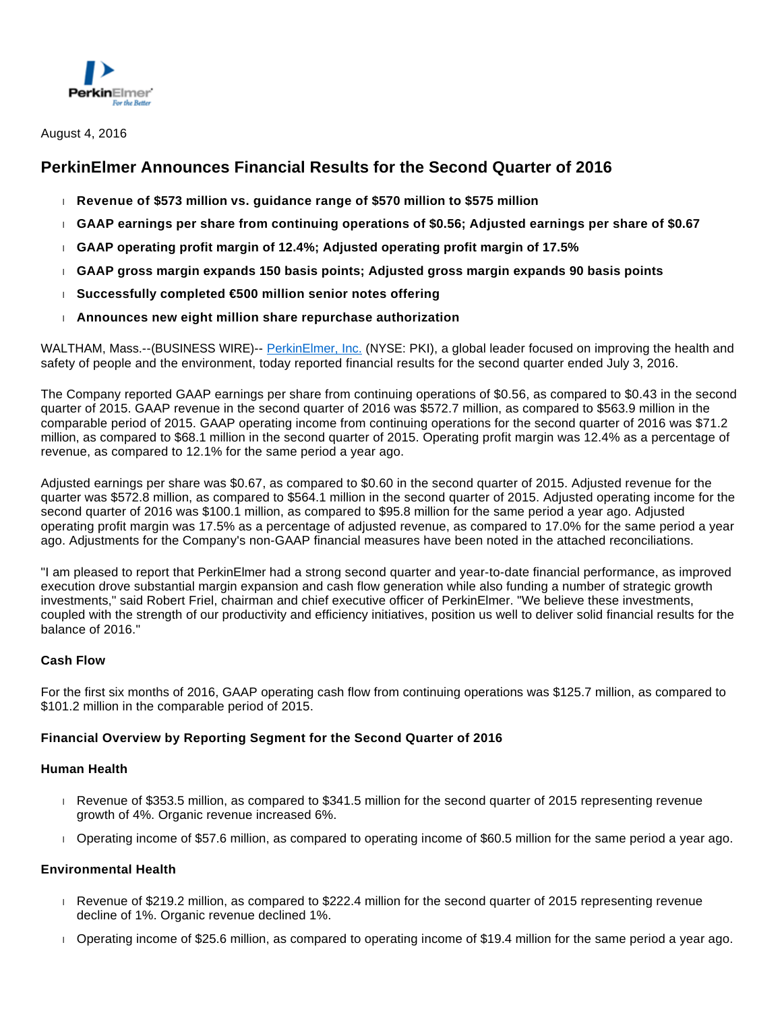

# **PerkinElmer Announces Financial Results for the Second Quarter of 2016**

- **Revenue of \$573 million vs. guidance range of \$570 million to \$575 million**
- **GAAP earnings per share from continuing operations of \$0.56; Adjusted earnings per share of \$0.67**
- **GAAP operating profit margin of 12.4%; Adjusted operating profit margin of 17.5%**
- **GAAP gross margin expands 150 basis points; Adjusted gross margin expands 90 basis points**
- **Successfully completed €500 million senior notes offering**
- **Announces new eight million share repurchase authorization**

WALTHAM, Mass.--(BUSINESS WIRE)-- [PerkinElmer, Inc.](http://cts.businesswire.com/ct/CT?id=smartlink&url=http%3A%2F%2Fwww.perkinelmer.com%2F&esheet=51396296&newsitemid=20160804006386&lan=en-US&anchor=PerkinElmer%2C+Inc.&index=1&md5=bf7587db3c6642f0e930a8f92486a6e6) (NYSE: PKI), a global leader focused on improving the health and safety of people and the environment, today reported financial results for the second quarter ended July 3, 2016.

The Company reported GAAP earnings per share from continuing operations of \$0.56, as compared to \$0.43 in the second quarter of 2015. GAAP revenue in the second quarter of 2016 was \$572.7 million, as compared to \$563.9 million in the comparable period of 2015. GAAP operating income from continuing operations for the second quarter of 2016 was \$71.2 million, as compared to \$68.1 million in the second quarter of 2015. Operating profit margin was 12.4% as a percentage of revenue, as compared to 12.1% for the same period a year ago.

Adjusted earnings per share was \$0.67, as compared to \$0.60 in the second quarter of 2015. Adjusted revenue for the quarter was \$572.8 million, as compared to \$564.1 million in the second quarter of 2015. Adjusted operating income for the second quarter of 2016 was \$100.1 million, as compared to \$95.8 million for the same period a year ago. Adjusted operating profit margin was 17.5% as a percentage of adjusted revenue, as compared to 17.0% for the same period a year ago. Adjustments for the Company's non-GAAP financial measures have been noted in the attached reconciliations.

"I am pleased to report that PerkinElmer had a strong second quarter and year-to-date financial performance, as improved execution drove substantial margin expansion and cash flow generation while also funding a number of strategic growth investments," said Robert Friel, chairman and chief executive officer of PerkinElmer. "We believe these investments, coupled with the strength of our productivity and efficiency initiatives, position us well to deliver solid financial results for the balance of 2016."

## **Cash Flow**

For the first six months of 2016, GAAP operating cash flow from continuing operations was \$125.7 million, as compared to \$101.2 million in the comparable period of 2015.

#### **Financial Overview by Reporting Segment for the Second Quarter of 2016**

#### **Human Health**

- Revenue of \$353.5 million, as compared to \$341.5 million for the second quarter of 2015 representing revenue growth of 4%. Organic revenue increased 6%.
- Operating income of \$57.6 million, as compared to operating income of \$60.5 million for the same period a year ago.

#### **Environmental Health**

- Revenue of \$219.2 million, as compared to \$222.4 million for the second quarter of 2015 representing revenue decline of 1%. Organic revenue declined 1%.
- Operating income of \$25.6 million, as compared to operating income of \$19.4 million for the same period a year ago.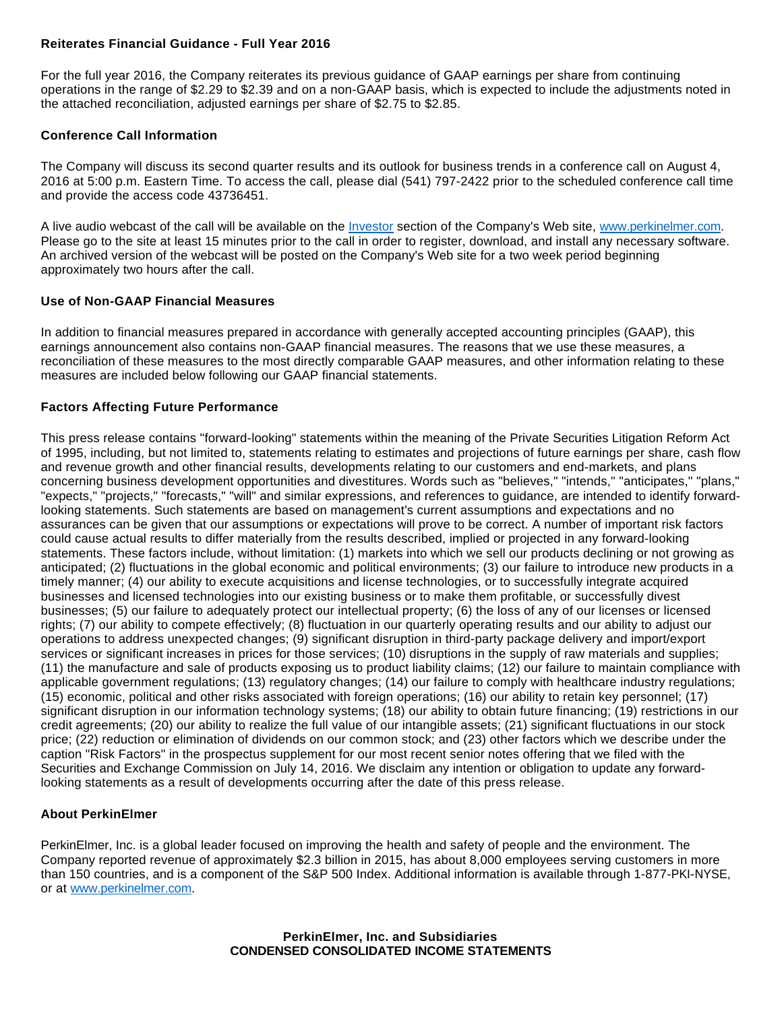### **Reiterates Financial Guidance - Full Year 2016**

For the full year 2016, the Company reiterates its previous guidance of GAAP earnings per share from continuing operations in the range of \$2.29 to \$2.39 and on a non-GAAP basis, which is expected to include the adjustments noted in the attached reconciliation, adjusted earnings per share of \$2.75 to \$2.85.

#### **Conference Call Information**

The Company will discuss its second quarter results and its outlook for business trends in a conference call on August 4, 2016 at 5:00 p.m. Eastern Time. To access the call, please dial (541) 797-2422 prior to the scheduled conference call time and provide the access code 43736451.

A live audio webcast of the call will be available on the [Investor](http://cts.businesswire.com/ct/CT?id=smartlink&url=http%3A%2F%2Fwww.perkinelmer.com%2Fcorporate%2Finvestors%2F&esheet=51396296&newsitemid=20160804006386&lan=en-US&anchor=Investor&index=2&md5=814efada472e075788b624ee4cb50f2e) section of the Company's Web site, [www.perkinelmer.com.](http://cts.businesswire.com/ct/CT?id=smartlink&url=http%3A%2F%2Fwww.perkinelmer.com&esheet=51396296&newsitemid=20160804006386&lan=en-US&anchor=www.perkinelmer.com&index=3&md5=d85325c12b9e41ada97f2f3e8a6f794c) Please go to the site at least 15 minutes prior to the call in order to register, download, and install any necessary software. An archived version of the webcast will be posted on the Company's Web site for a two week period beginning approximately two hours after the call.

#### **Use of Non-GAAP Financial Measures**

In addition to financial measures prepared in accordance with generally accepted accounting principles (GAAP), this earnings announcement also contains non-GAAP financial measures. The reasons that we use these measures, a reconciliation of these measures to the most directly comparable GAAP measures, and other information relating to these measures are included below following our GAAP financial statements.

### **Factors Affecting Future Performance**

This press release contains "forward-looking" statements within the meaning of the Private Securities Litigation Reform Act of 1995, including, but not limited to, statements relating to estimates and projections of future earnings per share, cash flow and revenue growth and other financial results, developments relating to our customers and end-markets, and plans concerning business development opportunities and divestitures. Words such as "believes," "intends," "anticipates," "plans," "expects," "projects," "forecasts," "will" and similar expressions, and references to guidance, are intended to identify forwardlooking statements. Such statements are based on management's current assumptions and expectations and no assurances can be given that our assumptions or expectations will prove to be correct. A number of important risk factors could cause actual results to differ materially from the results described, implied or projected in any forward-looking statements. These factors include, without limitation: (1) markets into which we sell our products declining or not growing as anticipated; (2) fluctuations in the global economic and political environments; (3) our failure to introduce new products in a timely manner; (4) our ability to execute acquisitions and license technologies, or to successfully integrate acquired businesses and licensed technologies into our existing business or to make them profitable, or successfully divest businesses; (5) our failure to adequately protect our intellectual property; (6) the loss of any of our licenses or licensed rights; (7) our ability to compete effectively; (8) fluctuation in our quarterly operating results and our ability to adjust our operations to address unexpected changes; (9) significant disruption in third-party package delivery and import/export services or significant increases in prices for those services; (10) disruptions in the supply of raw materials and supplies; (11) the manufacture and sale of products exposing us to product liability claims; (12) our failure to maintain compliance with applicable government regulations; (13) regulatory changes; (14) our failure to comply with healthcare industry regulations; (15) economic, political and other risks associated with foreign operations; (16) our ability to retain key personnel; (17) significant disruption in our information technology systems; (18) our ability to obtain future financing; (19) restrictions in our credit agreements; (20) our ability to realize the full value of our intangible assets; (21) significant fluctuations in our stock price; (22) reduction or elimination of dividends on our common stock; and (23) other factors which we describe under the caption "Risk Factors" in the prospectus supplement for our most recent senior notes offering that we filed with the Securities and Exchange Commission on July 14, 2016. We disclaim any intention or obligation to update any forwardlooking statements as a result of developments occurring after the date of this press release.

#### **About PerkinElmer**

PerkinElmer, Inc. is a global leader focused on improving the health and safety of people and the environment. The Company reported revenue of approximately \$2.3 billion in 2015, has about 8,000 employees serving customers in more than 150 countries, and is a component of the S&P 500 Index. Additional information is available through 1-877-PKI-NYSE, or at [www.perkinelmer.com](http://cts.businesswire.com/ct/CT?id=smartlink&url=http%3A%2F%2Fwww.perkinelmer.com&esheet=51396296&newsitemid=20160804006386&lan=en-US&anchor=www.perkinelmer.com&index=4&md5=c7023c626961ea7f6dc0faa671656cbb).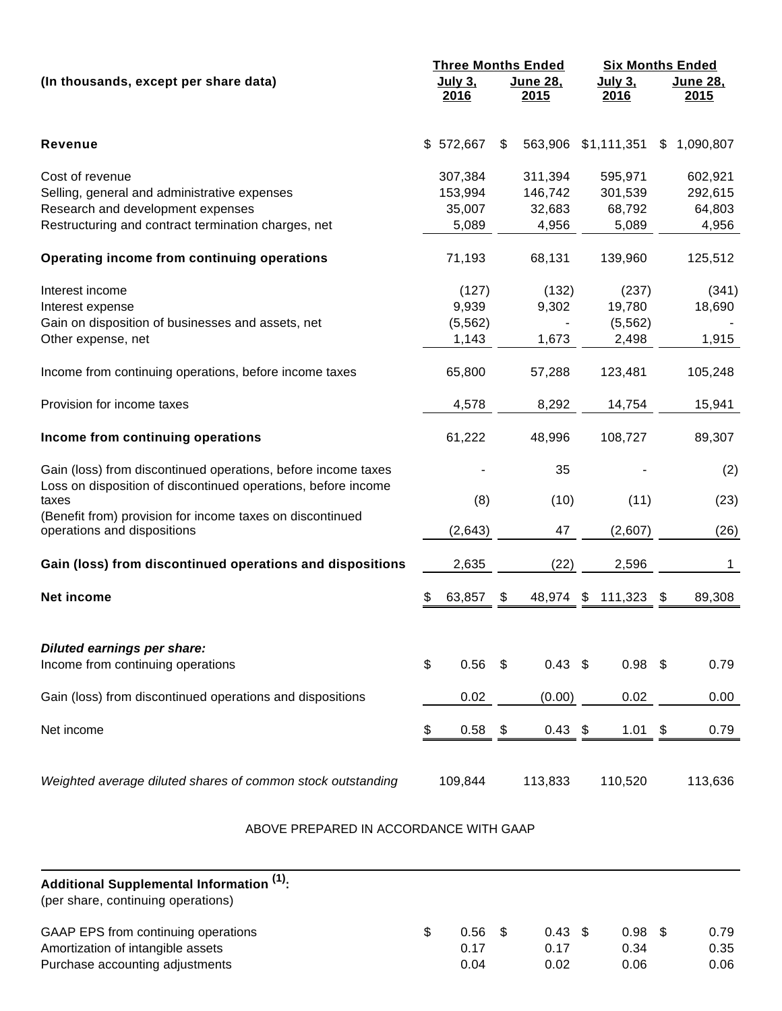|                                                                                          |    | <b>Three Months Ended</b> |                 |           |                | <b>Six Months Ended</b> |                 |             |  |
|------------------------------------------------------------------------------------------|----|---------------------------|-----------------|-----------|----------------|-------------------------|-----------------|-------------|--|
| (In thousands, except per share data)                                                    |    | <u>July 3,</u>            | <u>June 28,</u> |           | <u>July 3,</u> |                         | <u>June 28,</u> |             |  |
|                                                                                          |    | 2016                      |                 | 2015      |                | 2016                    |                 | 2015        |  |
| <b>Revenue</b>                                                                           |    | \$572,667                 | \$              | 563,906   |                | \$1,111,351             |                 | \$1,090,807 |  |
| Cost of revenue                                                                          |    | 307,384                   |                 | 311,394   |                | 595,971                 |                 | 602,921     |  |
| Selling, general and administrative expenses                                             |    | 153,994                   |                 | 146,742   |                | 301,539                 |                 | 292,615     |  |
| Research and development expenses                                                        |    | 35,007                    |                 | 32,683    |                | 68,792                  |                 | 64,803      |  |
| Restructuring and contract termination charges, net                                      |    | 5,089                     |                 | 4,956     |                | 5,089                   |                 | 4,956       |  |
| Operating income from continuing operations                                              |    | 71,193                    |                 | 68,131    |                | 139,960                 |                 | 125,512     |  |
| Interest income                                                                          |    | (127)                     |                 | (132)     |                | (237)                   |                 | (341)       |  |
| Interest expense                                                                         |    | 9,939                     |                 | 9,302     |                | 19,780                  |                 | 18,690      |  |
| Gain on disposition of businesses and assets, net                                        |    | (5, 562)                  |                 |           |                | (5, 562)                |                 |             |  |
| Other expense, net                                                                       |    | 1,143                     |                 | 1,673     |                | 2,498                   |                 | 1,915       |  |
| Income from continuing operations, before income taxes                                   |    | 65,800                    |                 | 57,288    |                | 123,481                 |                 | 105,248     |  |
| Provision for income taxes                                                               |    | 4,578                     |                 | 8,292     |                | 14,754                  |                 | 15,941      |  |
| Income from continuing operations                                                        |    | 61,222                    |                 | 48,996    |                | 108,727                 |                 | 89,307      |  |
| Gain (loss) from discontinued operations, before income taxes                            |    |                           |                 | 35        |                |                         |                 | (2)         |  |
| Loss on disposition of discontinued operations, before income<br>taxes                   |    | (8)                       |                 | (10)      |                | (11)                    |                 | (23)        |  |
| (Benefit from) provision for income taxes on discontinued<br>operations and dispositions |    | (2,643)                   |                 | 47        |                | (2,607)                 |                 | (26)        |  |
| Gain (loss) from discontinued operations and dispositions                                |    | 2,635                     |                 | (22)      |                | 2,596                   |                 | 1           |  |
| <b>Net income</b>                                                                        | \$ | 63,857                    | \$              | 48,974    | \$             | 111,323                 | \$              | 89,308      |  |
| <b>Diluted earnings per share:</b>                                                       |    |                           |                 |           |                |                         |                 |             |  |
| Income from continuing operations                                                        | \$ | 0.56                      | \$              | $0.43$ \$ |                | $0.98$ \$               |                 | 0.79        |  |
| Gain (loss) from discontinued operations and dispositions                                |    | 0.02                      |                 | (0.00)    |                | 0.02                    |                 | 0.00        |  |
|                                                                                          |    |                           |                 |           |                |                         |                 |             |  |
| Net income                                                                               | \$ | 0.58                      | \$              | 0.43      | \$             | 1.01                    | \$              | 0.79        |  |
| Weighted average diluted shares of common stock outstanding                              |    | 109,844                   |                 | 113,833   |                | 110,520                 |                 | 113,636     |  |

## ABOVE PREPARED IN ACCORDANCE WITH GAAP

| Additional Supplemental Information (1):<br>(per share, continuing operations) |      |                   |      |      |      |
|--------------------------------------------------------------------------------|------|-------------------|------|------|------|
| GAAP EPS from continuing operations                                            | 0.56 | $0.43 \text{ } $$ | 0.98 | - \$ | 0.79 |
| Amortization of intangible assets                                              | 0.17 | 0.17              | 0.34 |      | 0.35 |
| Purchase accounting adjustments                                                | 0.04 | 0.02              | 0.06 |      | 0.06 |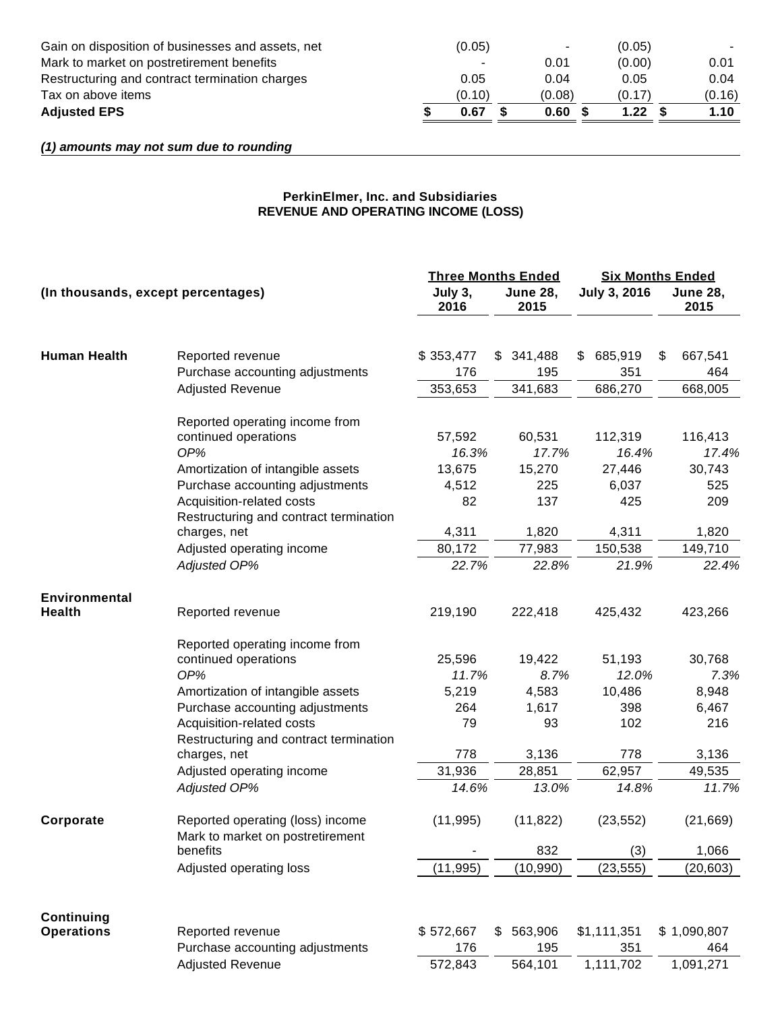| Gain on disposition of businesses and assets, net | (0.05) | $\sim$ | (0.05) |        |
|---------------------------------------------------|--------|--------|--------|--------|
| Mark to market on postretirement benefits         |        | 0.01   | (0.00) | 0.01   |
| Restructuring and contract termination charges    | 0.05   | 0.04   | 0.05   | 0.04   |
| Tax on above items                                | (0.10) | (0.08) | (0.17) | (0.16) |
| <b>Adjusted EPS</b>                               | 0.67   | 0.60   | 1.22   | 1.10   |

# **(1) amounts may not sum due to rounding**

## **PerkinElmer, Inc. and Subsidiaries REVENUE AND OPERATING INCOME (LOSS)**

|                                    |                                                                      |                 | <b>Three Months Ended</b> | <b>Six Months Ended</b> |                         |  |  |
|------------------------------------|----------------------------------------------------------------------|-----------------|---------------------------|-------------------------|-------------------------|--|--|
| (In thousands, except percentages) |                                                                      | July 3,<br>2016 | <b>June 28,</b><br>2015   | <b>July 3, 2016</b>     | <b>June 28,</b><br>2015 |  |  |
|                                    |                                                                      |                 |                           |                         |                         |  |  |
| <b>Human Health</b>                | Reported revenue                                                     | \$353,477       | \$341,488                 | \$<br>685,919           | \$<br>667,541           |  |  |
|                                    | Purchase accounting adjustments                                      | 176             | 195                       | 351                     | 464                     |  |  |
|                                    | <b>Adjusted Revenue</b>                                              | 353,653         | 341,683                   | 686,270                 | 668,005                 |  |  |
|                                    | Reported operating income from                                       |                 |                           |                         |                         |  |  |
|                                    | continued operations                                                 | 57,592          | 60,531                    | 112,319                 | 116,413                 |  |  |
|                                    | OP%                                                                  | 16.3%           | 17.7%                     | 16.4%                   | 17.4%                   |  |  |
|                                    | Amortization of intangible assets                                    | 13,675          | 15,270                    | 27,446                  | 30,743                  |  |  |
|                                    | Purchase accounting adjustments                                      | 4,512           | 225                       | 6,037                   | 525                     |  |  |
|                                    | Acquisition-related costs                                            | 82              | 137                       | 425                     | 209                     |  |  |
|                                    | Restructuring and contract termination                               |                 |                           |                         |                         |  |  |
|                                    | charges, net                                                         | 4,311           | 1,820                     | 4,311                   | 1,820                   |  |  |
|                                    | Adjusted operating income                                            | 80,172          | 77,983                    | 150,538                 | 149,710                 |  |  |
|                                    | Adjusted OP%                                                         | 22.7%           | 22.8%                     | 21.9%                   | 22.4%                   |  |  |
| <b>Environmental</b>               |                                                                      |                 |                           |                         |                         |  |  |
| <b>Health</b>                      | Reported revenue                                                     | 219,190         | 222,418                   | 425,432                 | 423,266                 |  |  |
|                                    | Reported operating income from                                       |                 |                           |                         |                         |  |  |
|                                    | continued operations                                                 | 25,596          | 19,422                    | 51,193                  | 30,768                  |  |  |
|                                    | OP%                                                                  | 11.7%           | 8.7%                      | 12.0%                   | 7.3%                    |  |  |
|                                    | Amortization of intangible assets                                    | 5,219           | 4,583                     | 10,486                  | 8,948                   |  |  |
|                                    | Purchase accounting adjustments                                      | 264             | 1,617                     | 398                     | 6,467                   |  |  |
|                                    | Acquisition-related costs                                            | 79              | 93                        | 102                     | 216                     |  |  |
|                                    | Restructuring and contract termination<br>charges, net               | 778             | 3,136                     | 778                     | 3,136                   |  |  |
|                                    | Adjusted operating income                                            | 31,936          | 28,851                    | 62,957                  | 49,535                  |  |  |
|                                    | <b>Adjusted OP%</b>                                                  | 14.6%           | 13.0%                     | 14.8%                   | 11.7%                   |  |  |
| Corporate                          | Reported operating (loss) income<br>Mark to market on postretirement | (11, 995)       | (11, 822)                 | (23, 552)               | (21, 669)               |  |  |
|                                    | benefits                                                             |                 | 832                       | (3)                     | 1,066                   |  |  |
|                                    | Adjusted operating loss                                              | (11, 995)       | (10, 990)                 | (23, 555)               | (20, 603)               |  |  |
|                                    |                                                                      |                 |                           |                         |                         |  |  |
| Continuing<br><b>Operations</b>    | Reported revenue                                                     | \$572,667       | 563,906<br>\$             | \$1,111,351             | \$1,090,807             |  |  |
|                                    | Purchase accounting adjustments                                      | 176             | 195                       | 351                     | 464                     |  |  |
|                                    | Adjusted Revenue                                                     | 572,843         | 564,101                   | 1,111,702               | 1,091,271               |  |  |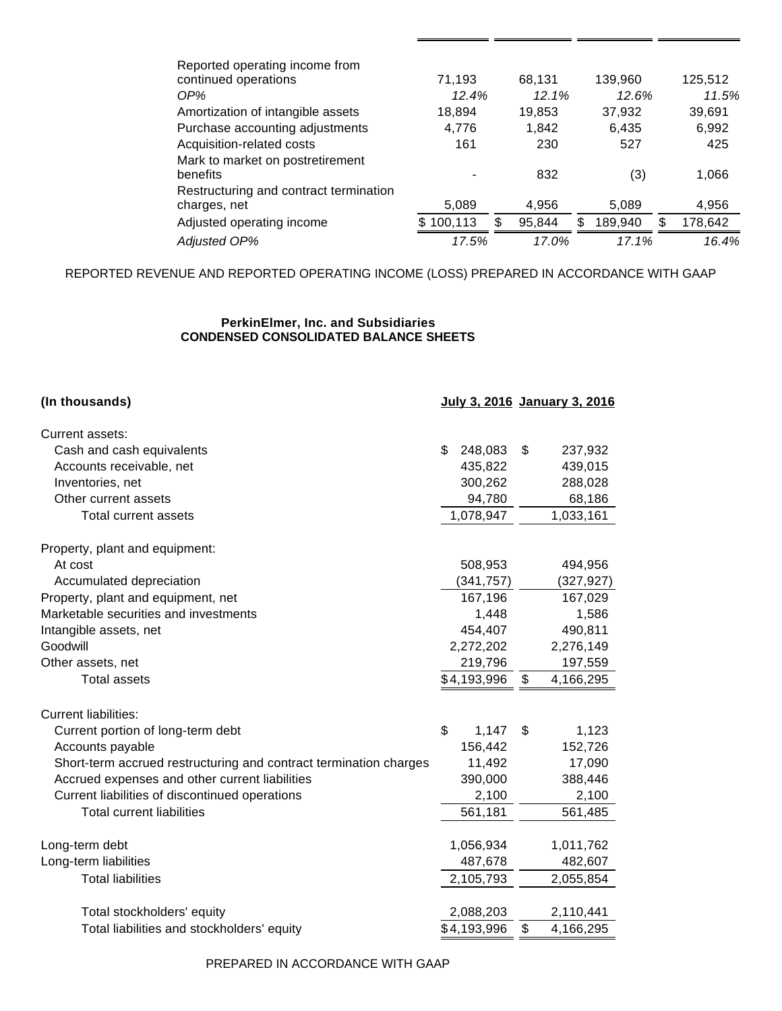|               |                           |    |                                                                              |                   | 125,512        |
|---------------|---------------------------|----|------------------------------------------------------------------------------|-------------------|----------------|
|               |                           |    |                                                                              |                   | 11.5%          |
|               |                           |    |                                                                              |                   |                |
|               |                           |    |                                                                              |                   | 39,691         |
| 4.776         |                           |    | 6.435                                                                        |                   | 6,992          |
| 161           |                           |    | 527                                                                          |                   | 425            |
|               |                           |    |                                                                              |                   |                |
|               |                           |    | (3)                                                                          |                   | 1,066          |
|               |                           |    |                                                                              |                   |                |
| 5,089         |                           |    | 5,089                                                                        |                   | 4,956          |
| 100,113<br>S. | S                         | S. | 189,940                                                                      | \$                | 178,642        |
| 17.5%         |                           |    |                                                                              |                   | 16.4%          |
|               | 71.193<br>12.4%<br>18,894 |    | 68,131<br>12.1%<br>19,853<br>1.842<br>230<br>832<br>4,956<br>95,844<br>17.0% | 139,960<br>37,932 | 12.6%<br>17.1% |

REPORTED REVENUE AND REPORTED OPERATING INCOME (LOSS) PREPARED IN ACCORDANCE WITH GAAP

## **PerkinElmer, Inc. and Subsidiaries CONDENSED CONSOLIDATED BALANCE SHEETS**

| (In thousands)                                                    |               | July 3, 2016 January 3, 2016 |
|-------------------------------------------------------------------|---------------|------------------------------|
| Current assets:                                                   |               |                              |
| Cash and cash equivalents                                         | \$<br>248,083 | \$<br>237,932                |
| Accounts receivable, net                                          | 435,822       | 439,015                      |
| Inventories, net                                                  | 300,262       | 288,028                      |
| Other current assets                                              | 94,780        | 68,186                       |
| <b>Total current assets</b>                                       | 1,078,947     | 1,033,161                    |
| Property, plant and equipment:                                    |               |                              |
| At cost                                                           | 508,953       | 494,956                      |
| Accumulated depreciation                                          | (341, 757)    | (327, 927)                   |
| Property, plant and equipment, net                                | 167,196       | 167,029                      |
| Marketable securities and investments                             | 1,448         | 1,586                        |
| Intangible assets, net                                            | 454,407       | 490,811                      |
| Goodwill                                                          | 2,272,202     | 2,276,149                    |
| Other assets, net                                                 | 219,796       | 197,559                      |
| <b>Total assets</b>                                               | \$4,193,996   | \$<br>4,166,295              |
| <b>Current liabilities:</b>                                       |               |                              |
| Current portion of long-term debt                                 | \$<br>1,147   | \$<br>1,123                  |
| Accounts payable                                                  | 156,442       | 152,726                      |
| Short-term accrued restructuring and contract termination charges | 11,492        | 17,090                       |
| Accrued expenses and other current liabilities                    | 390,000       | 388,446                      |
| Current liabilities of discontinued operations                    | 2,100         | 2,100                        |
| <b>Total current liabilities</b>                                  | 561,181       | 561,485                      |
| Long-term debt                                                    | 1,056,934     | 1,011,762                    |
| Long-term liabilities                                             | 487,678       | 482,607                      |
| <b>Total liabilities</b>                                          | 2,105,793     | 2,055,854                    |
| Total stockholders' equity                                        | 2,088,203     | 2,110,441                    |
| Total liabilities and stockholders' equity                        | \$4,193,996   | \$<br>4,166,295              |
|                                                                   |               |                              |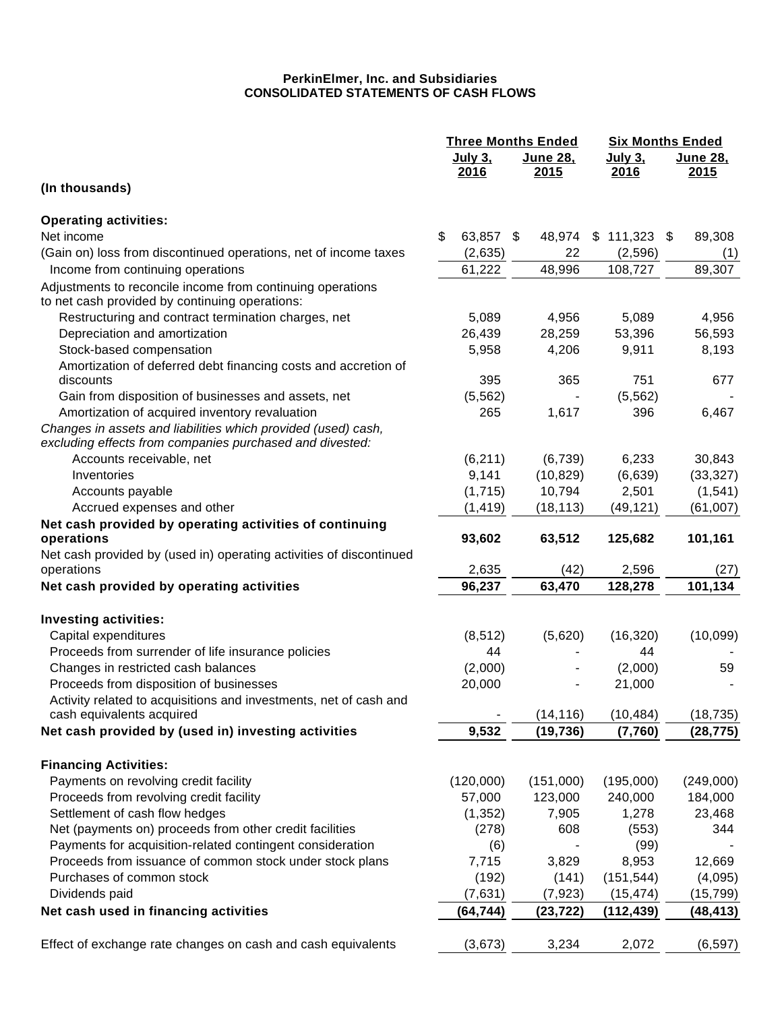#### **PerkinElmer, Inc. and Subsidiaries CONSOLIDATED STATEMENTS OF CASH FLOWS**

|                                                                                                                           | <b>Three Months Ended</b> |                        |  | <b>Six Months Ended</b> |                        |  |                         |
|---------------------------------------------------------------------------------------------------------------------------|---------------------------|------------------------|--|-------------------------|------------------------|--|-------------------------|
|                                                                                                                           |                           | <u>July 3,</u><br>2016 |  | <u>June 28.</u><br>2015 | <u>July 3,</u><br>2016 |  | <u>June 28.</u><br>2015 |
| (In thousands)                                                                                                            |                           |                        |  |                         |                        |  |                         |
| <b>Operating activities:</b>                                                                                              |                           |                        |  |                         |                        |  |                         |
| Net income                                                                                                                | \$                        | 63,857 \$              |  | 48,974                  | $$111,323$ \$          |  | 89,308                  |
| (Gain on) loss from discontinued operations, net of income taxes                                                          |                           | (2,635)                |  | 22                      | (2,596)                |  | (1)                     |
| Income from continuing operations                                                                                         |                           | 61,222                 |  | 48,996                  | 108,727                |  | 89,307                  |
| Adjustments to reconcile income from continuing operations<br>to net cash provided by continuing operations:              |                           |                        |  |                         |                        |  |                         |
| Restructuring and contract termination charges, net                                                                       |                           | 5,089                  |  | 4,956                   | 5,089                  |  | 4,956                   |
| Depreciation and amortization                                                                                             |                           | 26,439                 |  | 28,259                  | 53,396                 |  | 56,593                  |
| Stock-based compensation                                                                                                  |                           | 5,958                  |  | 4,206                   | 9,911                  |  | 8,193                   |
| Amortization of deferred debt financing costs and accretion of<br>discounts                                               |                           | 395                    |  | 365                     | 751                    |  | 677                     |
| Gain from disposition of businesses and assets, net                                                                       |                           | (5, 562)               |  |                         | (5, 562)               |  |                         |
| Amortization of acquired inventory revaluation                                                                            |                           | 265                    |  | 1,617                   | 396                    |  | 6,467                   |
| Changes in assets and liabilities which provided (used) cash,<br>excluding effects from companies purchased and divested: |                           |                        |  |                         |                        |  |                         |
| Accounts receivable, net                                                                                                  |                           | (6, 211)               |  | (6,739)                 | 6,233                  |  | 30,843                  |
| Inventories                                                                                                               |                           | 9,141                  |  | (10, 829)               | (6,639)                |  | (33, 327)               |
| Accounts payable                                                                                                          |                           | (1,715)                |  | 10,794                  | 2,501                  |  | (1, 541)                |
| Accrued expenses and other                                                                                                |                           | (1, 419)               |  | (18, 113)               | (49, 121)              |  | (61,007)                |
| Net cash provided by operating activities of continuing<br>operations                                                     |                           | 93,602                 |  | 63,512                  | 125,682                |  | 101,161                 |
| Net cash provided by (used in) operating activities of discontinued<br>operations                                         |                           | 2,635                  |  | (42)                    | 2,596                  |  | (27)                    |
| Net cash provided by operating activities                                                                                 |                           | 96,237                 |  | 63,470                  | 128,278                |  | 101,134                 |
| <b>Investing activities:</b>                                                                                              |                           |                        |  |                         |                        |  |                         |
| Capital expenditures                                                                                                      |                           | (8, 512)               |  | (5,620)                 | (16, 320)              |  | (10,099)                |
| Proceeds from surrender of life insurance policies                                                                        |                           | 44                     |  |                         | 44                     |  |                         |
| Changes in restricted cash balances                                                                                       |                           | (2,000)                |  |                         | (2,000)                |  | 59                      |
| Proceeds from disposition of businesses                                                                                   |                           | 20,000                 |  |                         | 21,000                 |  |                         |
| Activity related to acquisitions and investments, net of cash and                                                         |                           |                        |  |                         |                        |  |                         |
| cash equivalents acquired                                                                                                 |                           |                        |  | (14, 116)               | (10, 484)              |  | (18, 735)               |
| Net cash provided by (used in) investing activities                                                                       |                           | 9,532                  |  | (19, 736)               | (7,760)                |  | (28, 775)               |
| <b>Financing Activities:</b>                                                                                              |                           |                        |  |                         |                        |  |                         |
| Payments on revolving credit facility                                                                                     |                           | (120,000)              |  | (151,000)               | (195,000)              |  | (249,000)               |
| Proceeds from revolving credit facility                                                                                   |                           | 57,000                 |  | 123,000                 | 240,000                |  | 184,000                 |
| Settlement of cash flow hedges                                                                                            |                           | (1, 352)               |  | 7,905                   | 1,278                  |  | 23,468                  |
| Net (payments on) proceeds from other credit facilities                                                                   |                           | (278)                  |  | 608                     | (553)                  |  | 344                     |
| Payments for acquisition-related contingent consideration                                                                 |                           | (6)                    |  |                         | (99)                   |  |                         |
| Proceeds from issuance of common stock under stock plans                                                                  |                           | 7,715                  |  | 3,829                   | 8,953                  |  | 12,669                  |
| Purchases of common stock                                                                                                 |                           | (192)                  |  | (141)                   | (151, 544)             |  | (4,095)                 |
| Dividends paid                                                                                                            |                           | (7,631)                |  | (7, 923)                | (15, 474)              |  | (15, 799)               |
| Net cash used in financing activities                                                                                     |                           | (64, 744)              |  | (23, 722)               | (112, 439)             |  | (48, 413)               |
| Effect of exchange rate changes on cash and cash equivalents                                                              |                           | (3,673)                |  | 3,234                   | 2,072                  |  | (6, 597)                |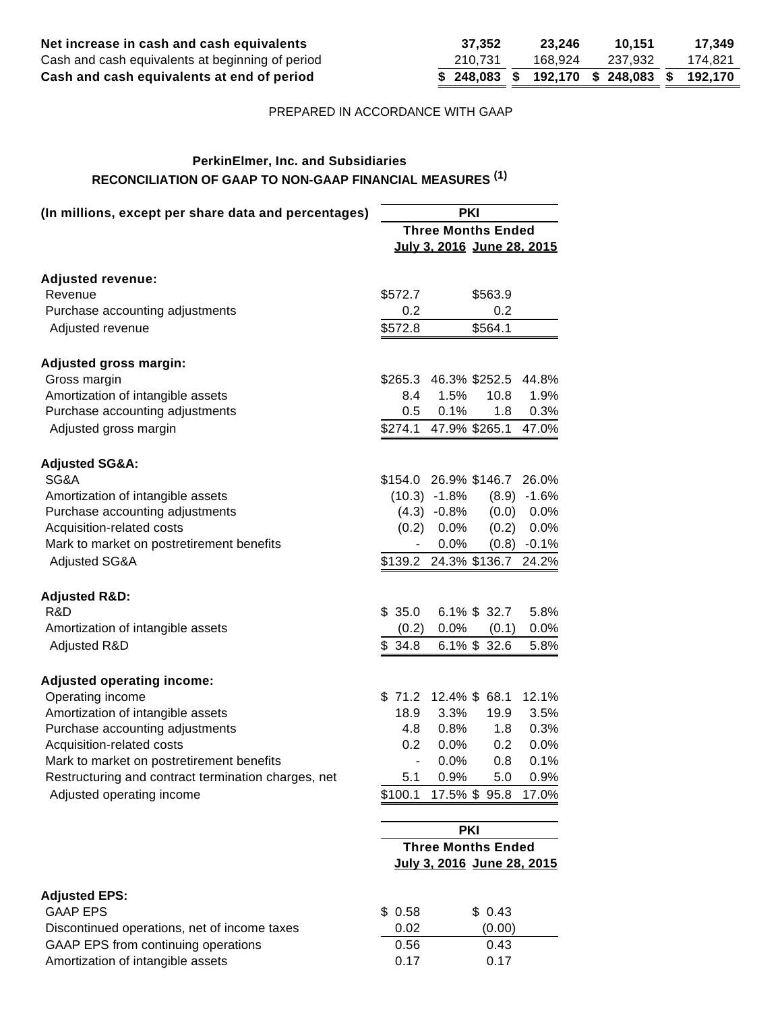PREPARED IN ACCORDANCE WITH GAAP

# **PerkinElmer, Inc. and Subsidiaries RECONCILIATION OF GAAP TO NON-GAAP FINANCIAL MEASURES (1)**

| (In millions, except per share data and percentages) | <b>PKI</b>                |                 |                            |                |  |
|------------------------------------------------------|---------------------------|-----------------|----------------------------|----------------|--|
|                                                      | <b>Three Months Ended</b> |                 |                            |                |  |
|                                                      |                           |                 | July 3, 2016 June 28, 2015 |                |  |
|                                                      |                           |                 |                            |                |  |
| <b>Adjusted revenue:</b>                             |                           |                 |                            |                |  |
| Revenue                                              | \$572.7                   |                 | \$563.9                    |                |  |
| Purchase accounting adjustments                      | 0.2                       |                 | 0.2                        |                |  |
| Adjusted revenue                                     | \$572.8                   |                 | \$564.1                    |                |  |
| <b>Adjusted gross margin:</b>                        |                           |                 |                            |                |  |
| Gross margin                                         | \$265.3                   |                 | 46.3% \$252.5              | 44.8%          |  |
| Amortization of intangible assets                    | 8.4                       | 1.5%            | 10.8                       | 1.9%           |  |
| Purchase accounting adjustments                      | 0.5                       | 0.1%            | 1.8                        | 0.3%           |  |
| Adjusted gross margin                                | \$274.1                   |                 | 47.9% \$265.1              | 47.0%          |  |
| <b>Adjusted SG&amp;A:</b>                            |                           |                 |                            |                |  |
| SG&A                                                 |                           |                 | \$154.0 26.9% \$146.7      | 26.0%          |  |
| Amortization of intangible assets                    |                           | $(10.3) -1.8\%$ | (8.9)                      | $-1.6%$        |  |
| Purchase accounting adjustments                      |                           | $(4.3) -0.8\%$  | (0.0)                      | $0.0\%$        |  |
| Acquisition-related costs                            | (0.2)                     | 0.0%            | (0.2)                      | 0.0%           |  |
| Mark to market on postretirement benefits            |                           | 0.0%            |                            | $(0.8) -0.1\%$ |  |
| Adjusted SG&A                                        |                           |                 | \$139.2 24.3% \$136.7      | 24.2%          |  |
| <b>Adjusted R&amp;D:</b>                             |                           |                 |                            |                |  |
| R&D                                                  | \$35.0                    |                 | 6.1% \$32.7                | 5.8%           |  |
| Amortization of intangible assets                    | (0.2)                     | 0.0%            | (0.1)                      | 0.0%           |  |
| Adjusted R&D                                         | \$34.8                    |                 | 6.1% \$32.6                | 5.8%           |  |
|                                                      |                           |                 |                            |                |  |
| <b>Adjusted operating income:</b>                    |                           |                 |                            |                |  |
| Operating income                                     | \$71.2                    |                 | 12.4% \$68.1               | 12.1%          |  |
| Amortization of intangible assets                    | 18.9                      | 3.3%            | 19.9                       | 3.5%           |  |
| Purchase accounting adjustments                      | 4.8                       | 0.8%            | 1.8                        | 0.3%           |  |
| Acquisition-related costs                            | 0.2                       | 0.0%            | 0.2                        | 0.0%           |  |
| Mark to market on postretirement benefits            | -                         | 0.0%            | 0.8                        | 0.1%           |  |
| Restructuring and contract termination charges, net  | 5.1                       | 0.9%            | 5.0                        | 0.9%           |  |
| Adjusted operating income                            | \$100.1                   |                 | 17.5% \$95.8               | 17.0%          |  |
|                                                      |                           |                 | <b>PKI</b>                 |                |  |
|                                                      |                           |                 | <b>Three Months Ended</b>  |                |  |
|                                                      |                           |                 | July 3, 2016 June 28, 2015 |                |  |

| <b>Adjusted EPS:</b>                         |        |        |  |
|----------------------------------------------|--------|--------|--|
| <b>GAAP EPS</b>                              | \$0.58 | \$0.43 |  |
| Discontinued operations, net of income taxes | 0.02   | (0.00) |  |
| GAAP EPS from continuing operations          | 0.56   | 0.43   |  |
| Amortization of intangible assets            | 0.17   | 0.17   |  |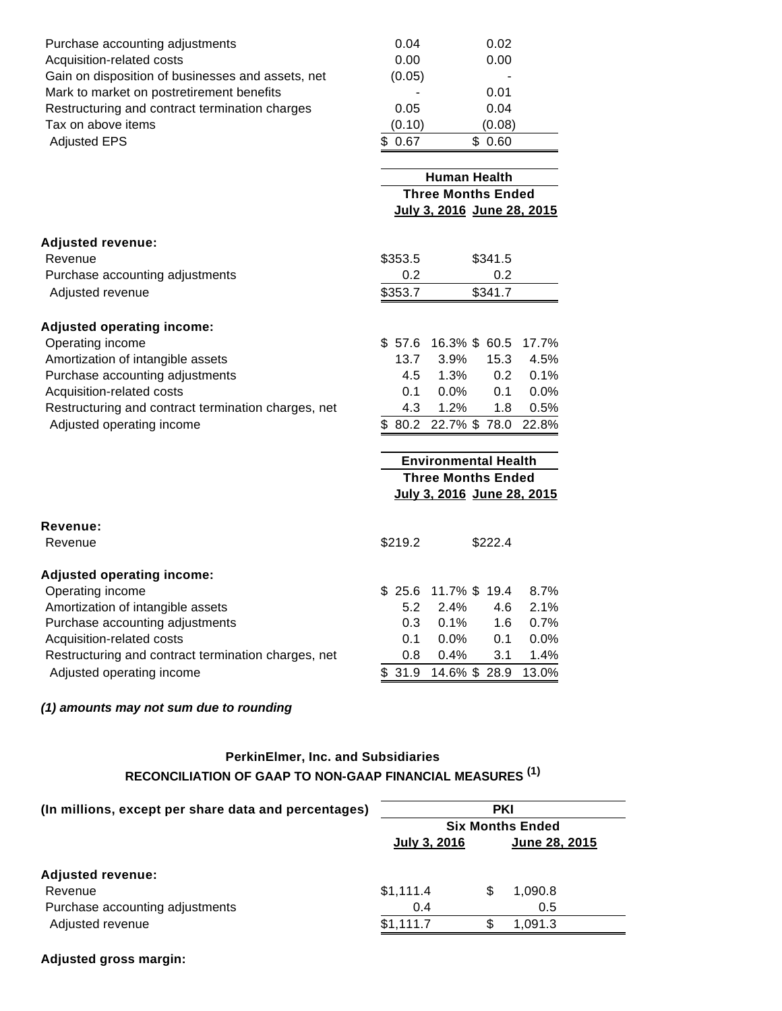| Purchase accounting adjustments                   | 0.04   | 0.02   |
|---------------------------------------------------|--------|--------|
| Acquisition-related costs                         | 0.00   | 0.00   |
| Gain on disposition of businesses and assets, net | (0.05) | -      |
| Mark to market on postretirement benefits         | ٠      | 0.01   |
| Restructuring and contract termination charges    | 0.05   | 0.04   |
| Tax on above items                                | (0.10) | (0.08) |
| <b>Adjusted EPS</b>                               | \$0.67 | \$0.60 |

|                                                     | <b>Human Health</b> |                             |         |       |  |
|-----------------------------------------------------|---------------------|-----------------------------|---------|-------|--|
|                                                     |                     | <b>Three Months Ended</b>   |         |       |  |
|                                                     |                     | July 3, 2016 June 28, 2015  |         |       |  |
| <b>Adjusted revenue:</b>                            |                     |                             |         |       |  |
| Revenue                                             | \$353.5             |                             | \$341.5 |       |  |
| Purchase accounting adjustments                     | 0.2                 |                             | 0.2     |       |  |
| Adjusted revenue                                    | \$353.7             |                             | \$341.7 |       |  |
| <b>Adjusted operating income:</b>                   |                     |                             |         |       |  |
| Operating income                                    |                     | $$57.6$ 16.3% \$60.5        |         | 17.7% |  |
| Amortization of intangible assets                   | 13.7                | 3.9%                        | 15.3    | 4.5%  |  |
| Purchase accounting adjustments                     | 4.5                 | 1.3%                        | 0.2     | 0.1%  |  |
| Acquisition-related costs                           | 0.1                 | $0.0\%$                     | 0.1     | 0.0%  |  |
| Restructuring and contract termination charges, net | 4.3                 | 1.2%                        | 1.8     | 0.5%  |  |
| Adjusted operating income                           | \$80.2              | 22.7% \$78.0                |         | 22.8% |  |
|                                                     |                     | <b>Environmental Health</b> |         |       |  |
|                                                     |                     | <b>Three Months Ended</b>   |         |       |  |
|                                                     |                     | July 3, 2016 June 28, 2015  |         |       |  |
| Revenue:                                            |                     |                             |         |       |  |
| Revenue                                             | \$219.2             |                             | \$222.4 |       |  |
| <b>Adjusted operating income:</b>                   |                     |                             |         |       |  |
| Operating income                                    | \$25.6              | 11.7% \$ 19.4               |         | 8.7%  |  |
| Amortization of intangible assets                   | 5.2                 | 2.4%                        | 4.6     | 2.1%  |  |
| Purchase accounting adjustments                     | 0.3                 | 0.1%                        | 1.6     | 0.7%  |  |
| Acquisition-related costs                           | 0.1                 | $0.0\%$                     | 0.1     | 0.0%  |  |
| Restructuring and contract termination charges, net | 0.8                 | 0.4%                        | 3.1     | 1.4%  |  |

## **(1) amounts may not sum due to rounding**

# **PerkinElmer, Inc. and Subsidiaries RECONCILIATION OF GAAP TO NON-GAAP FINANCIAL MEASURES (1)**

Adjusted operating income  $\overline{$}31.9$  14.6%  $\overline{$}28.9$  13.0%

| (In millions, except per share data and percentages) | <b>PKI</b>              |    |                      |  |  |  |  |  |
|------------------------------------------------------|-------------------------|----|----------------------|--|--|--|--|--|
|                                                      | <b>Six Months Ended</b> |    |                      |  |  |  |  |  |
|                                                      | July 3, 2016            |    | <u>June 28, 2015</u> |  |  |  |  |  |
| <b>Adjusted revenue:</b>                             |                         |    |                      |  |  |  |  |  |
| Revenue                                              | \$1,111.4               | S  | 1.090.8              |  |  |  |  |  |
| Purchase accounting adjustments                      | 0.4                     |    | 0.5                  |  |  |  |  |  |
| Adjusted revenue                                     | \$1,111.7               | S. | 1.091.3              |  |  |  |  |  |
|                                                      |                         |    |                      |  |  |  |  |  |

### **Adjusted gross margin:**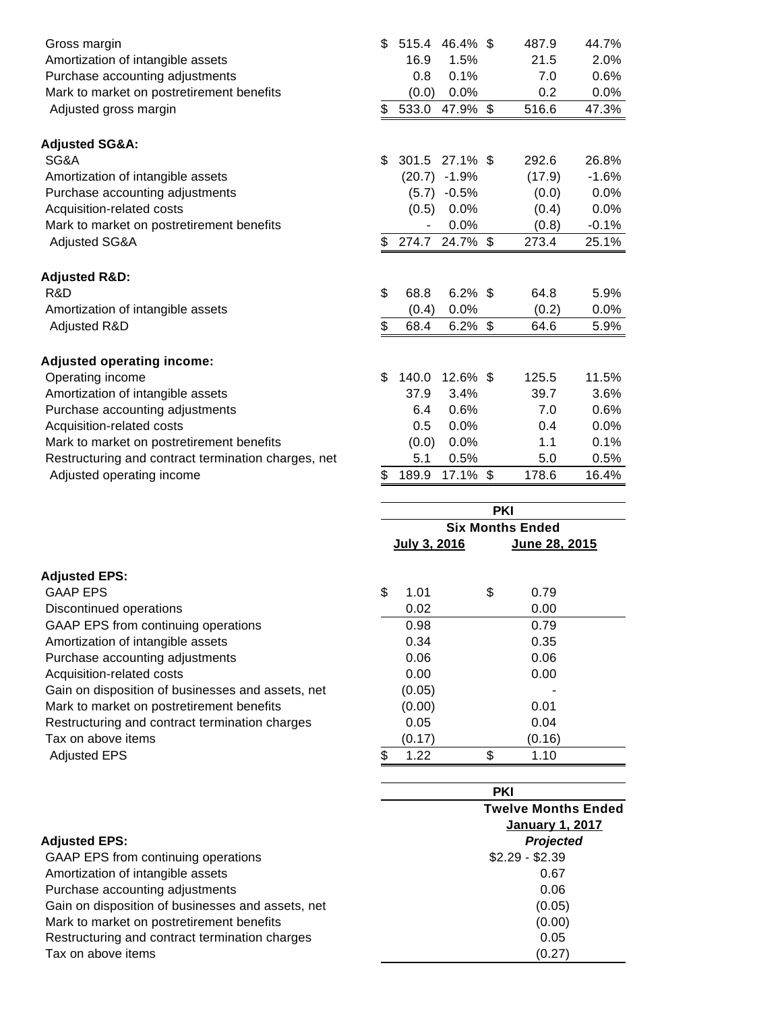| Gross margin                                        | \$<br>515.4 | 46.4% \$    | 487.9       | 44.7%   |
|-----------------------------------------------------|-------------|-------------|-------------|---------|
| Amortization of intangible assets                   | 16.9        | 1.5%        | 21.5        | 2.0%    |
| Purchase accounting adjustments                     | 0.8         | 0.1%        | 7.0         | 0.6%    |
| Mark to market on postretirement benefits           | (0.0)       | 0.0%        | 0.2         | $0.0\%$ |
| Adjusted gross margin                               | \$<br>533.0 | 47.9%       | \$<br>516.6 | 47.3%   |
| <b>Adjusted SG&amp;A:</b>                           |             |             |             |         |
| SG&A                                                | \$<br>301.5 | 27.1% \$    | 292.6       | 26.8%   |
| Amortization of intangible assets                   | (20.7)      | $-1.9%$     | (17.9)      | $-1.6%$ |
| Purchase accounting adjustments                     | (5.7)       | $-0.5%$     | (0.0)       | 0.0%    |
| Acquisition-related costs                           | (0.5)       | 0.0%        | (0.4)       | 0.0%    |
| Mark to market on postretirement benefits           |             | 0.0%        | (0.8)       | $-0.1%$ |
| <b>Adjusted SG&amp;A</b>                            | \$<br>274.7 | 24.7% \$    | 273.4       | 25.1%   |
| <b>Adjusted R&amp;D:</b>                            |             |             |             |         |
| R&D                                                 | \$<br>68.8  | $6.2\%$ \$  | 64.8        | 5.9%    |
| Amortization of intangible assets                   | (0.4)       | 0.0%        | (0.2)       | 0.0%    |
| Adjusted R&D                                        | \$<br>68.4  | 6.2%        | \$<br>64.6  | 5.9%    |
| <b>Adjusted operating income:</b>                   |             |             |             |         |
| Operating income                                    | \$<br>140.0 | $12.6\%$ \$ | 125.5       | 11.5%   |
| Amortization of intangible assets                   | 37.9        | 3.4%        | 39.7        | 3.6%    |
| Purchase accounting adjustments                     | 6.4         | 0.6%        | 7.0         | 0.6%    |
| Acquisition-related costs                           | 0.5         | 0.0%        | 0.4         | 0.0%    |
| Mark to market on postretirement benefits           | (0.0)       | 0.0%        | 1.1         | 0.1%    |
| Restructuring and contract termination charges, net | 5.1         | 0.5%        | 5.0         | 0.5%    |
| Adjusted operating income                           | \$<br>189.9 | 17.1%       | \$<br>178.6 | 16.4%   |

|                                                   | <b>PKI</b>              |              |    |               |  |
|---------------------------------------------------|-------------------------|--------------|----|---------------|--|
|                                                   | <b>Six Months Ended</b> |              |    |               |  |
|                                                   |                         | July 3, 2016 |    | June 28, 2015 |  |
| <b>Adjusted EPS:</b>                              |                         |              |    |               |  |
| <b>GAAP EPS</b>                                   | \$                      | 1.01         | \$ | 0.79          |  |
| Discontinued operations                           |                         | 0.02         |    | 0.00          |  |
| GAAP EPS from continuing operations               |                         | 0.98         |    | 0.79          |  |
| Amortization of intangible assets                 |                         | 0.34         |    | 0.35          |  |
| Purchase accounting adjustments                   |                         | 0.06         |    | 0.06          |  |
| Acquisition-related costs                         |                         | 0.00         |    | 0.00          |  |
| Gain on disposition of businesses and assets, net |                         | (0.05)       |    |               |  |
| Mark to market on postretirement benefits         |                         | (0.00)       |    | 0.01          |  |
| Restructuring and contract termination charges    |                         | 0.05         |    | 0.04          |  |
| Tax on above items                                |                         | (0.17)       |    | (0.16)        |  |
| <b>Adjusted EPS</b>                               | \$                      | 1.22         | \$ | 1.10          |  |

|                                                   | <b>PKI</b>                                                               |  |  |  |
|---------------------------------------------------|--------------------------------------------------------------------------|--|--|--|
| <b>Adjusted EPS:</b>                              | <b>Twelve Months Ended</b><br><u>January 1, 2017</u><br><b>Projected</b> |  |  |  |
| GAAP EPS from continuing operations               | $$2.29 - $2.39$                                                          |  |  |  |
| Amortization of intangible assets                 | 0.67                                                                     |  |  |  |
| Purchase accounting adjustments                   | 0.06                                                                     |  |  |  |
| Gain on disposition of businesses and assets, net | (0.05)                                                                   |  |  |  |
| Mark to market on postretirement benefits         | (0.00)                                                                   |  |  |  |
| Restructuring and contract termination charges    | 0.05                                                                     |  |  |  |
| Tax on above items                                | (0.27)                                                                   |  |  |  |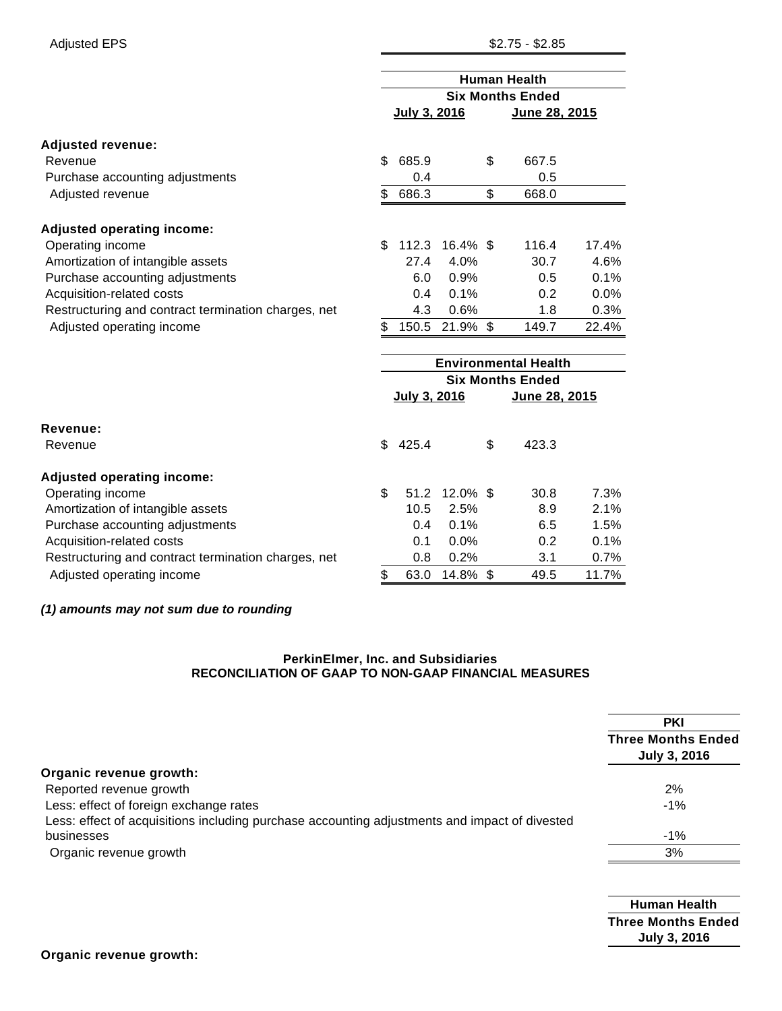|                                                     | <b>Human Health</b><br><b>Six Months Ended</b> |              |          |    |               |       |
|-----------------------------------------------------|------------------------------------------------|--------------|----------|----|---------------|-------|
|                                                     |                                                |              |          |    |               |       |
|                                                     |                                                | July 3, 2016 |          |    | June 28, 2015 |       |
| <b>Adjusted revenue:</b>                            |                                                |              |          |    |               |       |
| Revenue                                             | \$                                             | 685.9        |          | \$ | 667.5         |       |
| Purchase accounting adjustments                     |                                                | 0.4          |          |    | 0.5           |       |
| Adjusted revenue                                    | \$                                             | 686.3        |          | \$ | 668.0         |       |
| <b>Adjusted operating income:</b>                   |                                                |              |          |    |               |       |
| Operating income                                    | \$                                             | 112.3        | 16.4% \$ |    | 116.4         | 17.4% |
| Amortization of intangible assets                   |                                                | 27.4         | 4.0%     |    | 30.7          | 4.6%  |
| Purchase accounting adjustments                     |                                                | 6.0          | 0.9%     |    | 0.5           | 0.1%  |
| Acquisition-related costs                           |                                                | 0.4          | 0.1%     |    | 0.2           | 0.0%  |
| Restructuring and contract termination charges, net |                                                | 4.3          | 0.6%     |    | 1.8           | 0.3%  |
| Adjusted operating income                           | \$                                             | 150.5        | 21.9% \$ |    | 149.7         | 22.4% |
|                                                     | <b>Environmental Health</b>                    |              |          |    |               |       |
|                                                     | <b>Six Months Ended</b>                        |              |          |    |               |       |
|                                                     |                                                | July 3, 2016 |          |    | June 28, 2015 |       |
| Revenue:                                            |                                                |              |          |    |               |       |
| Revenue                                             | \$                                             | 425.4        |          | \$ | 423.3         |       |
| <b>Adjusted operating income:</b>                   |                                                |              |          |    |               |       |
| Operating income                                    | \$                                             | 51.2         | 12.0% \$ |    | 30.8          | 7.3%  |
| Amortization of intangible assets                   |                                                | 10.5         | 2.5%     |    | 8.9           | 2.1%  |
| Purchase accounting adjustments                     |                                                | 0.4          | 0.1%     |    | 6.5           | 1.5%  |
| Acquisition-related costs                           |                                                | 0.1          | 0.0%     |    | 0.2           | 0.1%  |
| Restructuring and contract termination charges, net |                                                | 0.8          | 0.2%     |    | 3.1           | 0.7%  |
| Adjusted operating income                           | \$                                             | 63.0         | 14.8% \$ |    | 49.5          | 11.7% |

## **(1) amounts may not sum due to rounding**

## **PerkinElmer, Inc. and Subsidiaries RECONCILIATION OF GAAP TO NON-GAAP FINANCIAL MEASURES**

|                                                                                               | <b>PKI</b>                                       |
|-----------------------------------------------------------------------------------------------|--------------------------------------------------|
|                                                                                               | <b>Three Months Ended</b><br><b>July 3, 2016</b> |
| Organic revenue growth:                                                                       |                                                  |
| Reported revenue growth                                                                       | 2%                                               |
| Less: effect of foreign exchange rates                                                        | $-1%$                                            |
| Less: effect of acquisitions including purchase accounting adjustments and impact of divested |                                                  |
| businesses                                                                                    | $-1\%$                                           |
| Organic revenue growth                                                                        | 3%                                               |

| <b>Human Health</b> |  |  |  |  |
|---------------------|--|--|--|--|
| Three Months Ended  |  |  |  |  |
| <b>July 3, 2016</b> |  |  |  |  |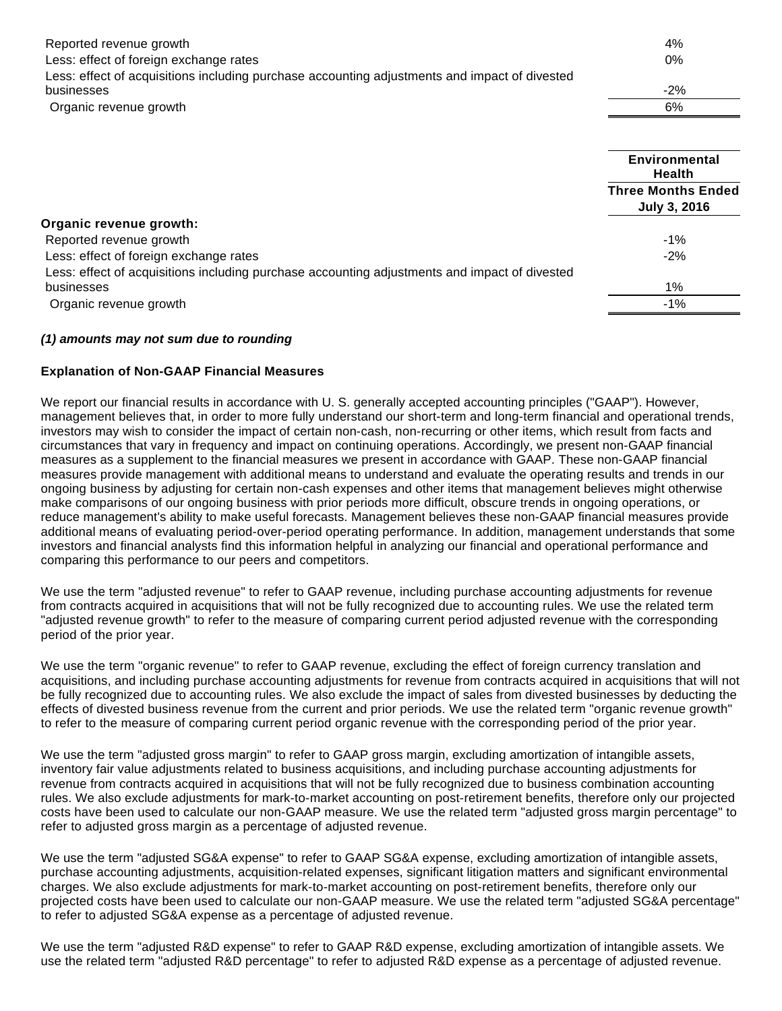| Reported revenue growth                                                                       | 4%    |
|-----------------------------------------------------------------------------------------------|-------|
| Less: effect of foreign exchange rates                                                        | $0\%$ |
| Less: effect of acquisitions including purchase accounting adjustments and impact of divested |       |
| businesses                                                                                    | $-2%$ |
| Organic revenue growth                                                                        | 6%    |
|                                                                                               |       |
|                                                                                               |       |

|                                                                                               | Environmental<br><b>Health</b><br><b>Three Months Ended</b><br><b>July 3, 2016</b> |  |
|-----------------------------------------------------------------------------------------------|------------------------------------------------------------------------------------|--|
|                                                                                               |                                                                                    |  |
| Organic revenue growth:                                                                       |                                                                                    |  |
| Reported revenue growth                                                                       | $-1%$                                                                              |  |
| Less: effect of foreign exchange rates                                                        | $-2%$                                                                              |  |
| Less: effect of acquisitions including purchase accounting adjustments and impact of divested |                                                                                    |  |
| businesses                                                                                    | $1\%$                                                                              |  |
| Organic revenue growth                                                                        | $-1\%$                                                                             |  |

### **(1) amounts may not sum due to rounding**

#### **Explanation of Non-GAAP Financial Measures**

We report our financial results in accordance with U. S. generally accepted accounting principles ("GAAP"). However, management believes that, in order to more fully understand our short-term and long-term financial and operational trends, investors may wish to consider the impact of certain non-cash, non-recurring or other items, which result from facts and circumstances that vary in frequency and impact on continuing operations. Accordingly, we present non-GAAP financial measures as a supplement to the financial measures we present in accordance with GAAP. These non-GAAP financial measures provide management with additional means to understand and evaluate the operating results and trends in our ongoing business by adjusting for certain non-cash expenses and other items that management believes might otherwise make comparisons of our ongoing business with prior periods more difficult, obscure trends in ongoing operations, or reduce management's ability to make useful forecasts. Management believes these non-GAAP financial measures provide additional means of evaluating period-over-period operating performance. In addition, management understands that some investors and financial analysts find this information helpful in analyzing our financial and operational performance and comparing this performance to our peers and competitors.

We use the term "adjusted revenue" to refer to GAAP revenue, including purchase accounting adjustments for revenue from contracts acquired in acquisitions that will not be fully recognized due to accounting rules. We use the related term "adjusted revenue growth" to refer to the measure of comparing current period adjusted revenue with the corresponding period of the prior year.

We use the term "organic revenue" to refer to GAAP revenue, excluding the effect of foreign currency translation and acquisitions, and including purchase accounting adjustments for revenue from contracts acquired in acquisitions that will not be fully recognized due to accounting rules. We also exclude the impact of sales from divested businesses by deducting the effects of divested business revenue from the current and prior periods. We use the related term "organic revenue growth" to refer to the measure of comparing current period organic revenue with the corresponding period of the prior year.

We use the term "adjusted gross margin" to refer to GAAP gross margin, excluding amortization of intangible assets, inventory fair value adjustments related to business acquisitions, and including purchase accounting adjustments for revenue from contracts acquired in acquisitions that will not be fully recognized due to business combination accounting rules. We also exclude adjustments for mark-to-market accounting on post-retirement benefits, therefore only our projected costs have been used to calculate our non-GAAP measure. We use the related term "adjusted gross margin percentage" to refer to adjusted gross margin as a percentage of adjusted revenue.

We use the term "adjusted SG&A expense" to refer to GAAP SG&A expense, excluding amortization of intangible assets, purchase accounting adjustments, acquisition-related expenses, significant litigation matters and significant environmental charges. We also exclude adjustments for mark-to-market accounting on post-retirement benefits, therefore only our projected costs have been used to calculate our non-GAAP measure. We use the related term "adjusted SG&A percentage" to refer to adjusted SG&A expense as a percentage of adjusted revenue.

We use the term "adjusted R&D expense" to refer to GAAP R&D expense, excluding amortization of intangible assets. We use the related term "adjusted R&D percentage" to refer to adjusted R&D expense as a percentage of adjusted revenue.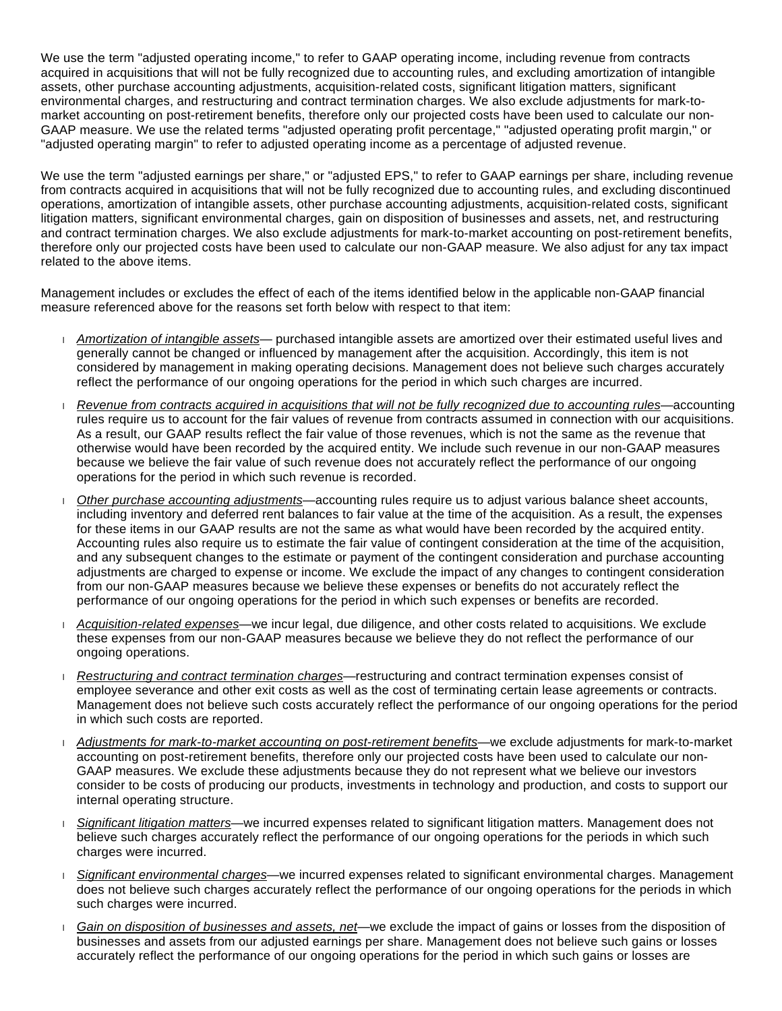We use the term "adjusted operating income," to refer to GAAP operating income, including revenue from contracts acquired in acquisitions that will not be fully recognized due to accounting rules, and excluding amortization of intangible assets, other purchase accounting adjustments, acquisition-related costs, significant litigation matters, significant environmental charges, and restructuring and contract termination charges. We also exclude adjustments for mark-tomarket accounting on post-retirement benefits, therefore only our projected costs have been used to calculate our non-GAAP measure. We use the related terms "adjusted operating profit percentage," "adjusted operating profit margin," or "adjusted operating margin" to refer to adjusted operating income as a percentage of adjusted revenue.

We use the term "adjusted earnings per share," or "adjusted EPS," to refer to GAAP earnings per share, including revenue from contracts acquired in acquisitions that will not be fully recognized due to accounting rules, and excluding discontinued operations, amortization of intangible assets, other purchase accounting adjustments, acquisition-related costs, significant litigation matters, significant environmental charges, gain on disposition of businesses and assets, net, and restructuring and contract termination charges. We also exclude adjustments for mark-to-market accounting on post-retirement benefits, therefore only our projected costs have been used to calculate our non-GAAP measure. We also adjust for any tax impact related to the above items.

Management includes or excludes the effect of each of the items identified below in the applicable non-GAAP financial measure referenced above for the reasons set forth below with respect to that item:

- Amortization of intangible assets— purchased intangible assets are amortized over their estimated useful lives and generally cannot be changed or influenced by management after the acquisition. Accordingly, this item is not considered by management in making operating decisions. Management does not believe such charges accurately reflect the performance of our ongoing operations for the period in which such charges are incurred.
- Revenue from contracts acquired in acquisitions that will not be fully recognized due to accounting rules—accounting rules require us to account for the fair values of revenue from contracts assumed in connection with our acquisitions. As a result, our GAAP results reflect the fair value of those revenues, which is not the same as the revenue that otherwise would have been recorded by the acquired entity. We include such revenue in our non-GAAP measures because we believe the fair value of such revenue does not accurately reflect the performance of our ongoing operations for the period in which such revenue is recorded.
- Other purchase accounting adjustments—accounting rules require us to adjust various balance sheet accounts, including inventory and deferred rent balances to fair value at the time of the acquisition. As a result, the expenses for these items in our GAAP results are not the same as what would have been recorded by the acquired entity. Accounting rules also require us to estimate the fair value of contingent consideration at the time of the acquisition, and any subsequent changes to the estimate or payment of the contingent consideration and purchase accounting adjustments are charged to expense or income. We exclude the impact of any changes to contingent consideration from our non-GAAP measures because we believe these expenses or benefits do not accurately reflect the performance of our ongoing operations for the period in which such expenses or benefits are recorded.
- Acquisition-related expenses—we incur legal, due diligence, and other costs related to acquisitions. We exclude these expenses from our non-GAAP measures because we believe they do not reflect the performance of our ongoing operations.
- Restructuring and contract termination charges—restructuring and contract termination expenses consist of employee severance and other exit costs as well as the cost of terminating certain lease agreements or contracts. Management does not believe such costs accurately reflect the performance of our ongoing operations for the period in which such costs are reported.
- Adjustments for mark-to-market accounting on post-retirement benefits—we exclude adjustments for mark-to-market accounting on post-retirement benefits, therefore only our projected costs have been used to calculate our non-GAAP measures. We exclude these adjustments because they do not represent what we believe our investors consider to be costs of producing our products, investments in technology and production, and costs to support our internal operating structure.
- Significant litigation matters—we incurred expenses related to significant litigation matters. Management does not believe such charges accurately reflect the performance of our ongoing operations for the periods in which such charges were incurred.
- Significant environmental charges—we incurred expenses related to significant environmental charges. Management does not believe such charges accurately reflect the performance of our ongoing operations for the periods in which such charges were incurred.
- Gain on disposition of businesses and assets, net—we exclude the impact of gains or losses from the disposition of businesses and assets from our adjusted earnings per share. Management does not believe such gains or losses accurately reflect the performance of our ongoing operations for the period in which such gains or losses are